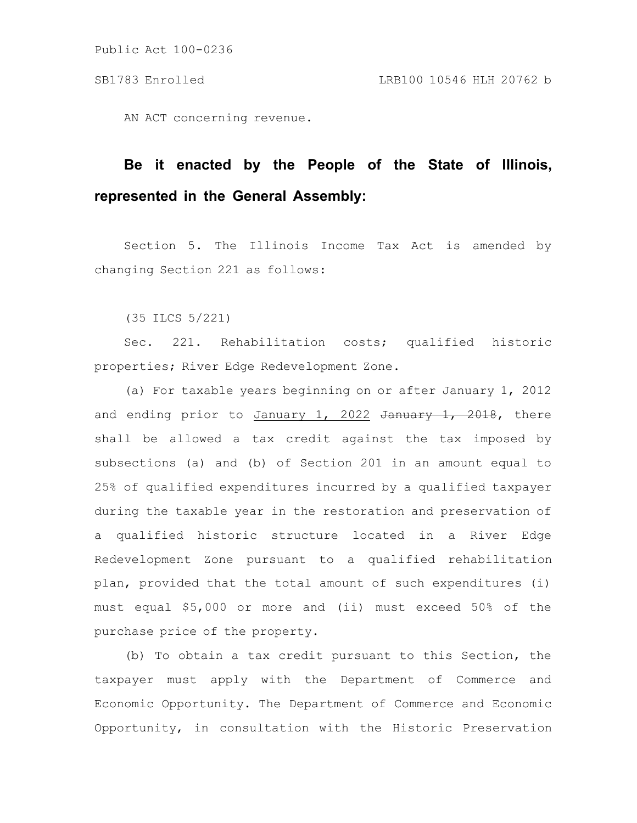Public Act 100-0236

AN ACT concerning revenue.

## **Be it enacted by the People of the State of Illinois, represented in the General Assembly:**

Section 5. The Illinois Income Tax Act is amended by changing Section 221 as follows:

(35 ILCS 5/221)

Sec. 221. Rehabilitation costs; qualified historic properties; River Edge Redevelopment Zone.

(a) For taxable years beginning on or after January 1, 2012 and ending prior to January 1, 2022 January 1, 2018, there shall be allowed a tax credit against the tax imposed by subsections (a) and (b) of Section 201 in an amount equal to 25% of qualified expenditures incurred by a qualified taxpayer during the taxable year in the restoration and preservation of a qualified historic structure located in a River Edge Redevelopment Zone pursuant to a qualified rehabilitation plan, provided that the total amount of such expenditures (i) must equal \$5,000 or more and (ii) must exceed 50% of the purchase price of the property.

(b) To obtain a tax credit pursuant to this Section, the taxpayer must apply with the Department of Commerce and Economic Opportunity. The Department of Commerce and Economic Opportunity, in consultation with the Historic Preservation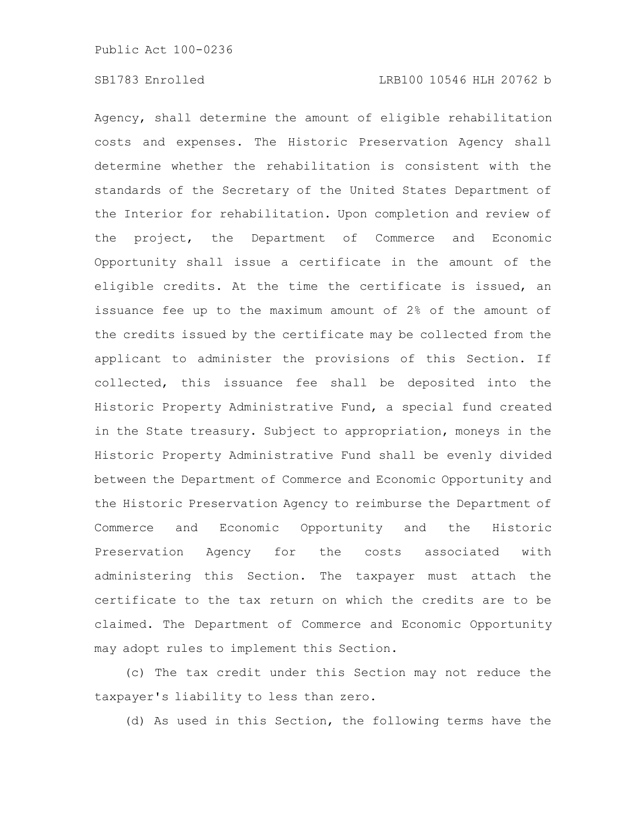Agency, shall determine the amount of eligible rehabilitation costs and expenses. The Historic Preservation Agency shall determine whether the rehabilitation is consistent with the standards of the Secretary of the United States Department of the Interior for rehabilitation. Upon completion and review of the project, the Department of Commerce and Economic Opportunity shall issue a certificate in the amount of the eligible credits. At the time the certificate is issued, an issuance fee up to the maximum amount of 2% of the amount of the credits issued by the certificate may be collected from the applicant to administer the provisions of this Section. If collected, this issuance fee shall be deposited into the Historic Property Administrative Fund, a special fund created in the State treasury. Subject to appropriation, moneys in the Historic Property Administrative Fund shall be evenly divided between the Department of Commerce and Economic Opportunity and the Historic Preservation Agency to reimburse the Department of Commerce and Economic Opportunity and the Historic Preservation Agency for the costs associated with administering this Section. The taxpayer must attach the certificate to the tax return on which the credits are to be claimed. The Department of Commerce and Economic Opportunity may adopt rules to implement this Section.

(c) The tax credit under this Section may not reduce the taxpayer's liability to less than zero.

(d) As used in this Section, the following terms have the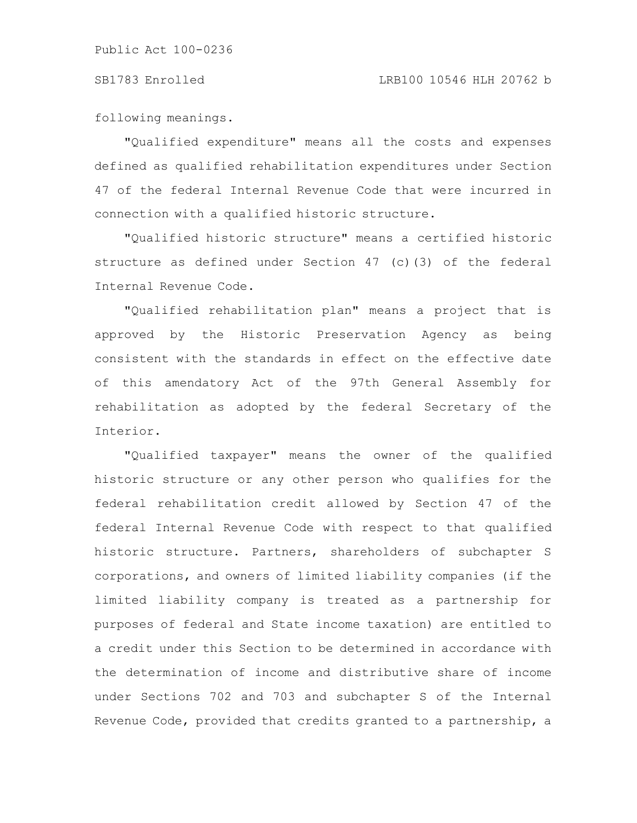following meanings.

"Qualified expenditure" means all the costs and expenses defined as qualified rehabilitation expenditures under Section 47 of the federal Internal Revenue Code that were incurred in connection with a qualified historic structure.

"Qualified historic structure" means a certified historic structure as defined under Section 47 (c)(3) of the federal Internal Revenue Code.

"Qualified rehabilitation plan" means a project that is approved by the Historic Preservation Agency as being consistent with the standards in effect on the effective date of this amendatory Act of the 97th General Assembly for rehabilitation as adopted by the federal Secretary of the Interior.

"Qualified taxpayer" means the owner of the qualified historic structure or any other person who qualifies for the federal rehabilitation credit allowed by Section 47 of the federal Internal Revenue Code with respect to that qualified historic structure. Partners, shareholders of subchapter S corporations, and owners of limited liability companies (if the limited liability company is treated as a partnership for purposes of federal and State income taxation) are entitled to a credit under this Section to be determined in accordance with the determination of income and distributive share of income under Sections 702 and 703 and subchapter S of the Internal Revenue Code, provided that credits granted to a partnership, a